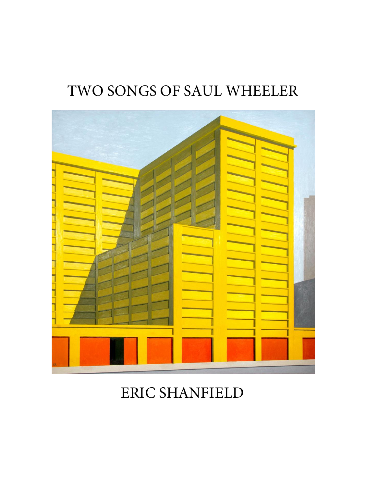

## ERIC SHANFIELD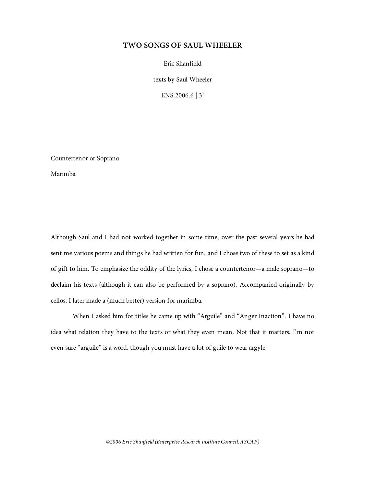#### Eric Shanfield

texts by Saul Wheeler

ENS.2006.6 | 3'

Countertenor or Soprano

Marimba

Although Saul and I had not worked together in some time, over the past several years he had sent me various poems and things he had written for fun, and I chose two of these to set as a kind of gift to him. To emphasize the oddity of the lyrics, I chose a countertenor—a male soprano—to declaim his texts (although it can also be performed by a soprano). Accompanied originally by cellos, I later made a (much better) version for marimba.

When I asked him for titles he came up with "Arguile" and "Anger Inaction". I have no idea what relation they have to the texts or what they even mean. Not that it matters. I'm not even sure "arguile" is a word, though you must have a lot of guile to wear argyle.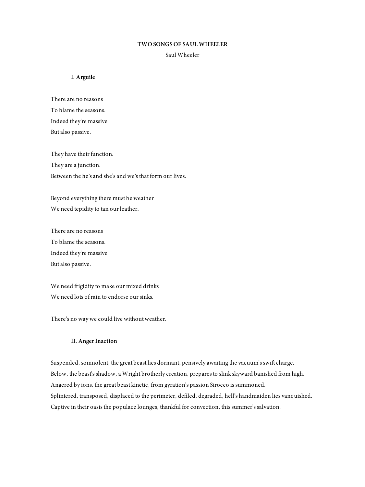#### Saul Wheeler

#### **I. Arguile**

There are no reasons To blame the seasons. Indeed they're massive But also passive.

They have their function. They are a junction. Between the he's and she's and we's that form our lives.

Beyond everything there must be weather We need tepidity to tan our leather.

There are no reasons To blame the seasons. Indeed they're massive But also passive.

We need frigidity to make our mixed drinks We need lots of rain to endorse our sinks.

There's no way we could live without weather.

#### **II. Anger Inaction**

Suspended, somnolent, the great beast lies dormant, pensively awaiting the vacuum's swift charge. Below, the beast's shadow, a Wright brotherly creation, prepares to slink skyward banished from high. Angered by ions, the great beast kinetic, from gyration's passion Sirocco is summoned. Splintered, transposed, displaced to the perimeter, defiled, degraded, hell's handmaiden lies vanquished. Captive in their oasis the populace lounges, thankful for convection, this summer's salvation.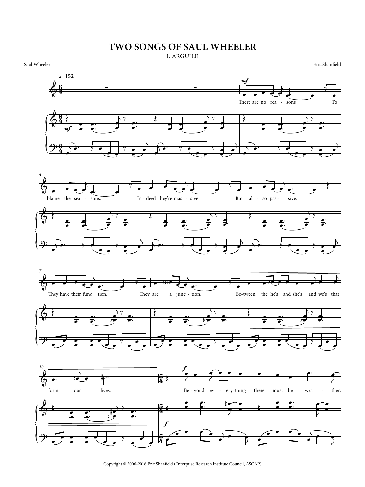### I. ARGUILE **TWO SONGS OF SAUL WHEELER**

**\\\ight\\ight\\ight\\ight\\ight\\ight\\ight\\ight\\ight\\ight\\ight\\ight\\ight\\ight\\ight\\ight\\ight\\ight\\ight\\ight\\ight\\ight\\ight\\ight\\ight\\ight\\ight\\ight\\ight\\ight\\ight\\ight\\ight\\ight\\ight\\ight\\ig** Tere are no rea - sons To mf  $\frac{1}{2}$ =152 mf **G** 4 6 <u>ն</u><br>4 **G** 4  $\frac{6}{9}$   $\frac{2}{9}$   $\frac{2}{9}$   $\frac{2}{9}$   $\frac{2}{9}$   $\frac{2}{9}$   $\frac{2}{9}$   $\frac{2}{9}$   $\frac{2}{9}$   $\frac{2}{9}$   $\frac{2}{9}$   $\frac{2}{9}$   $\frac{2}{9}$   $\frac{2}{9}$   $\frac{2}{9}$   $\frac{2}{9}$   $\frac{2}{9}$   $\frac{2}{9}$   $\frac{2}{9}$   $\frac{2}{9}$   $\frac{2}{9}$   $\frac{2}{9}$   $\Phi$  $\overline{\mathbf{P}}$ œ œ œ œ œ j  $\overline{e}$   $\overline{e}$ Œ œ  $\frac{1}{\sigma}$ œ™  $\frac{1}{\epsilon}$ œ  $\frac{1}{2}$ œ œ™  $\cdot$   $\cdot$ œ  $\frac{1}{\epsilon}$ œ™  $\frac{1}{\epsilon}$ œ  $\rightarrow$   $\rightarrow$ œ œ™  $\cdot$   $\cdot$ œ  $\bullet$ œ™  $\frac{1}{\epsilon}$ œ  $\frac{1}{2}$ œ œ™ ™ œ  $\overrightarrow{p}$   $\overrightarrow{y}$   $\overrightarrow{e}$   $\overrightarrow{y}$   $\overrightarrow{e}$  $\bullet$ j œ  $\overrightarrow{p}$   $\overrightarrow{y}$   $\overrightarrow{e}$   $\overrightarrow{y}$   $\overrightarrow{e}$  $\bullet$  $\overline{b}$ œ  $\overrightarrow{y}$   $\overrightarrow{y}$   $\overrightarrow{z}$ œ œ  $\mathbf{b}$ 







Copyright © 2006-2016 Eric Shanfield (Enterprise Research Institute Council, ASCAP)

Saul Wheeler Eric Shanfield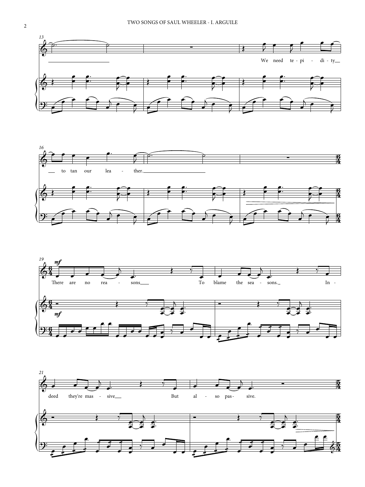





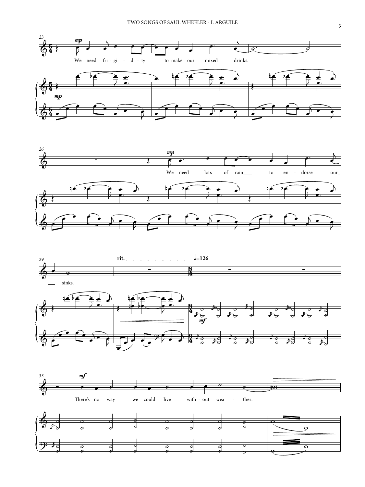





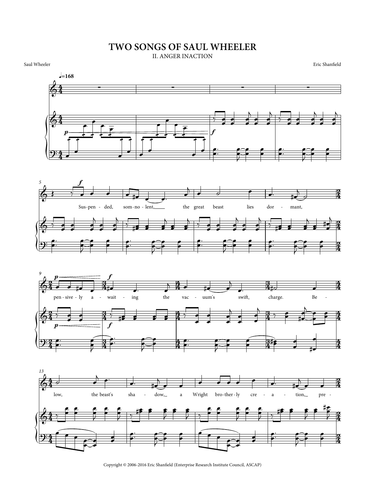II. ANGER INACTION

**\\\ightle**  $\frac{1}{2}$ =168 f 4 4 4 4 4  $\frac{4}{4}$  $\frac{1}{2}$   $\frac{1}{2}$   $\frac{1}{2}$   $\frac{1}{2}$   $\frac{1}{2}$   $\frac{1}{2}$   $\frac{1}{2}$   $\frac{1}{2}$   $\frac{1}{2}$   $\frac{1}{2}$   $\frac{1}{2}$   $\frac{1}{2}$   $\frac{1}{2}$   $\frac{1}{2}$   $\frac{1}{2}$   $\frac{1}{2}$   $\frac{1}{2}$   $\frac{1}{2}$   $\frac{1}{2}$   $\frac{1}{2}$   $\frac{1}{2}$   $\frac{1}{2}$   $\Phi$  $p \longrightarrow$ œ æ œ æ œ æ <sup>œ</sup> <sup>æ</sup> œ æ œ æ œ æ œ  $\overline{\mathbf{P}}$  $\frac{4}{7}$ œ œ  $\cdot$   $\cdot$ œ  $\overline{a}$ œ  $\cdot$   $\cdot$ œ  $\overline{a}$  $\frac{4}{\pi}$ œ œ  $\frac{1}{\alpha}$ œ  $\overline{a}$ œ  $\cdot$ œ  $\overline{b}$ æ œ æ œ æ œ æ œ æ œ æ œ æ œ æ  $\overline{\phantom{a}}$ œ™ ™ œ œ J œ <sup>œ</sup> <sup>œ</sup> e e œ™ ™ œ e<br>R J œ  $\frac{1}{\cdot}$ œ







Copyright © 2006-2016 Eric Shanfield (Enterprise Research Institute Council, ASCAP)

Saul Wheeler Eric Shanfield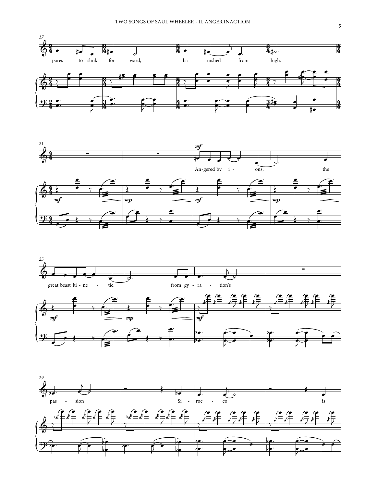





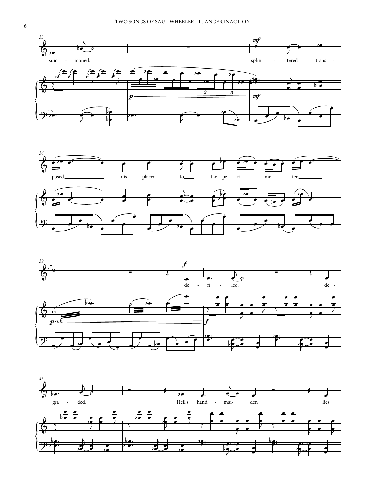